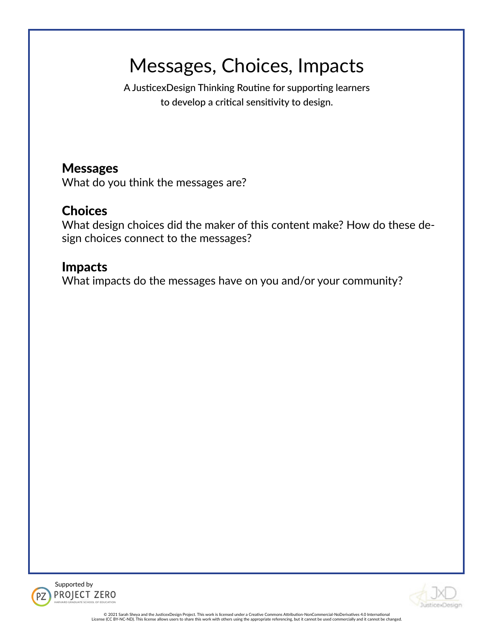# Messages, Choices, Impacts

A JusticexDesign Thinking Routine for supporting learners to develop a critical sensitivity to design.

# Messages

What do you think the messages are?

# **Choices**

What design choices did the maker of this content make? How do these design choices connect to the messages?

# Impacts

What impacts do the messages have on you and/or your community?